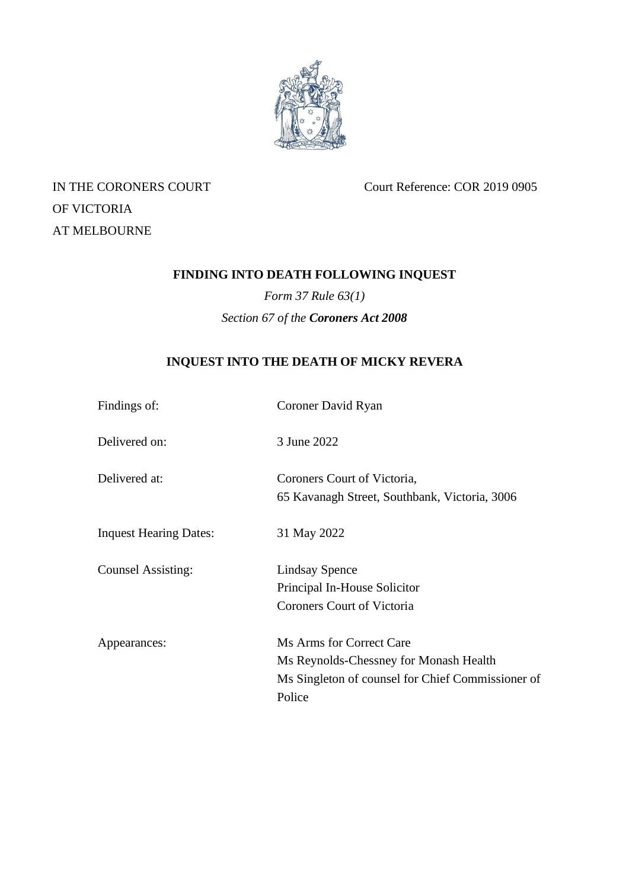

OF VICTORIA AT MELBOURNE

IN THE CORONERS COURT Court Reference: COR 2019 0905

# **FINDING INTO DEATH FOLLOWING INQUEST**

*Form 37 Rule 63(1) Section 67 of the Coroners Act 2008*

# **INQUEST INTO THE DEATH OF MICKY REVERA**

| Findings of:                  | Coroner David Ryan                                |
|-------------------------------|---------------------------------------------------|
| Delivered on:                 | 3 June 2022                                       |
| Delivered at:                 | Coroners Court of Victoria,                       |
|                               | 65 Kavanagh Street, Southbank, Victoria, 3006     |
| <b>Inquest Hearing Dates:</b> | 31 May 2022                                       |
| <b>Counsel Assisting:</b>     | <b>Lindsay Spence</b>                             |
|                               | Principal In-House Solicitor                      |
|                               | Coroners Court of Victoria                        |
| Appearances:                  | Ms Arms for Correct Care                          |
|                               | Ms Reynolds-Chessney for Monash Health            |
|                               | Ms Singleton of counsel for Chief Commissioner of |
|                               | Police                                            |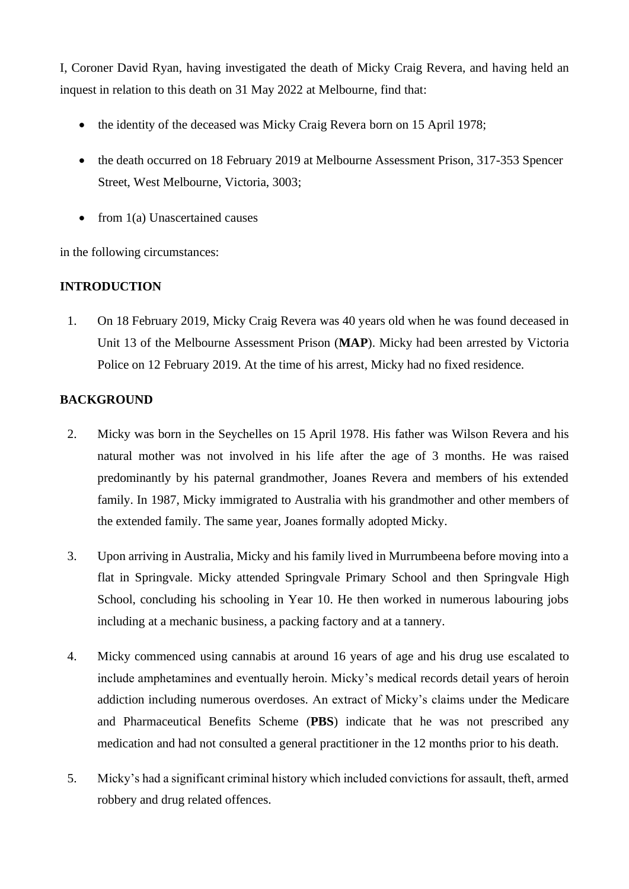I, Coroner David Ryan, having investigated the death of Micky Craig Revera, and having held an inquest in relation to this death on 31 May 2022 at Melbourne, find that:

- the identity of the deceased was Micky Craig Revera born on 15 April 1978;
- the death occurred on 18 February 2019 at Melbourne Assessment Prison, 317-353 Spencer Street, West Melbourne, Victoria, 3003;
- from 1(a) Unascertained causes

in the following circumstances:

## **INTRODUCTION**

1. On 18 February 2019, Micky Craig Revera was 40 years old when he was found deceased in Unit 13 of the Melbourne Assessment Prison (**MAP**). Micky had been arrested by Victoria Police on 12 February 2019. At the time of his arrest, Micky had no fixed residence.

## **BACKGROUND**

- 2. Micky was born in the Seychelles on 15 April 1978. His father was Wilson Revera and his natural mother was not involved in his life after the age of 3 months. He was raised predominantly by his paternal grandmother, Joanes Revera and members of his extended family. In 1987, Micky immigrated to Australia with his grandmother and other members of the extended family. The same year, Joanes formally adopted Micky.
- 3. Upon arriving in Australia, Micky and his family lived in Murrumbeena before moving into a flat in Springvale. Micky attended Springvale Primary School and then Springvale High School, concluding his schooling in Year 10. He then worked in numerous labouring jobs including at a mechanic business, a packing factory and at a tannery.
- 4. Micky commenced using cannabis at around 16 years of age and his drug use escalated to include amphetamines and eventually heroin. Micky's medical records detail years of heroin addiction including numerous overdoses. An extract of Micky's claims under the Medicare and Pharmaceutical Benefits Scheme (**PBS**) indicate that he was not prescribed any medication and had not consulted a general practitioner in the 12 months prior to his death.
- 5. Micky's had a significant criminal history which included convictions for assault, theft, armed robbery and drug related offences.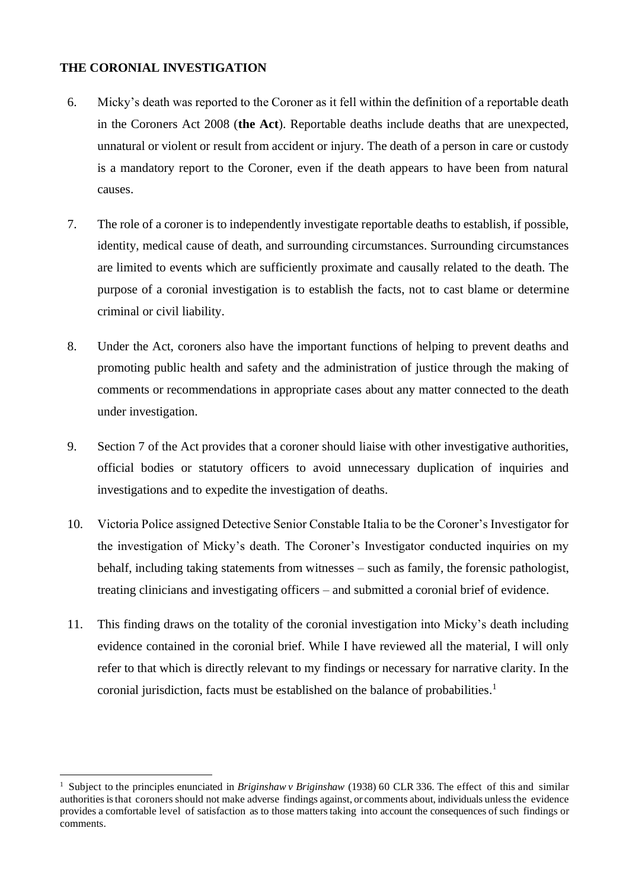## **THE CORONIAL INVESTIGATION**

- 6. Micky's death was reported to the Coroner as it fell within the definition of a reportable death in the Coroners Act 2008 (**the Act**). Reportable deaths include deaths that are unexpected, unnatural or violent or result from accident or injury. The death of a person in care or custody is a mandatory report to the Coroner, even if the death appears to have been from natural causes.
- 7. The role of a coroner is to independently investigate reportable deaths to establish, if possible, identity, medical cause of death, and surrounding circumstances. Surrounding circumstances are limited to events which are sufficiently proximate and causally related to the death. The purpose of a coronial investigation is to establish the facts, not to cast blame or determine criminal or civil liability.
- 8. Under the Act, coroners also have the important functions of helping to prevent deaths and promoting public health and safety and the administration of justice through the making of comments or recommendations in appropriate cases about any matter connected to the death under investigation.
- 9. Section 7 of the Act provides that a coroner should liaise with other investigative authorities, official bodies or statutory officers to avoid unnecessary duplication of inquiries and investigations and to expedite the investigation of deaths.
- 10. Victoria Police assigned Detective Senior Constable Italia to be the Coroner's Investigator for the investigation of Micky's death. The Coroner's Investigator conducted inquiries on my behalf, including taking statements from witnesses – such as family, the forensic pathologist, treating clinicians and investigating officers – and submitted a coronial brief of evidence.
- 11. This finding draws on the totality of the coronial investigation into Micky's death including evidence contained in the coronial brief. While I have reviewed all the material, I will only refer to that which is directly relevant to my findings or necessary for narrative clarity. In the coronial jurisdiction, facts must be established on the balance of probabilities. 1

<sup>&</sup>lt;sup>1</sup> Subject to the principles enunciated in *Briginshaw v Briginshaw* (1938) 60 CLR 336. The effect of this and similar authorities is that coroners should not make adverse findings against, or comments about, individuals unless the evidence provides a comfortable level of satisfaction as to those matters taking into account the consequences of such findings or comments.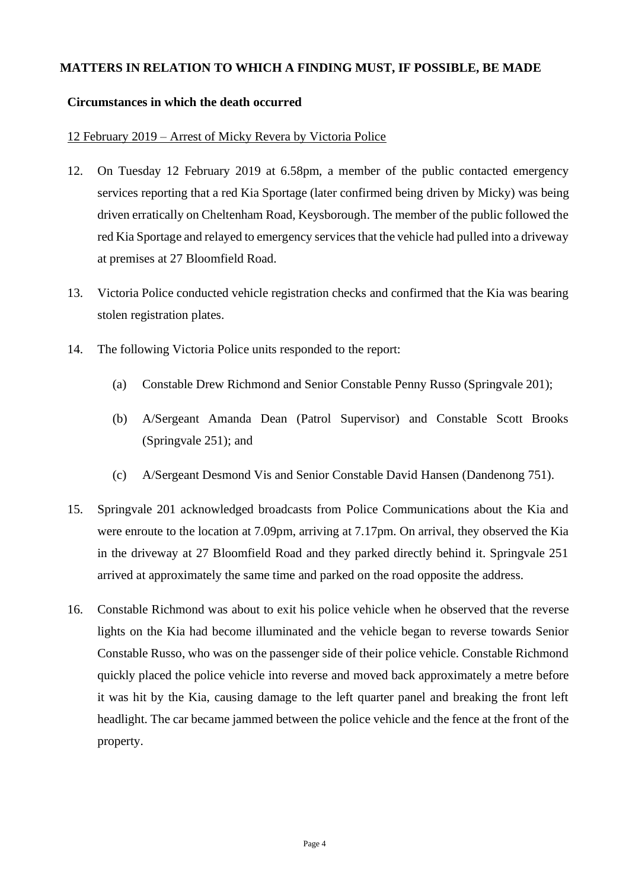## **MATTERS IN RELATION TO WHICH A FINDING MUST, IF POSSIBLE, BE MADE**

## **Circumstances in which the death occurred**

## 12 February 2019 – Arrest of Micky Revera by Victoria Police

- 12. On Tuesday 12 February 2019 at 6.58pm, a member of the public contacted emergency services reporting that a red Kia Sportage (later confirmed being driven by Micky) was being driven erratically on Cheltenham Road, Keysborough. The member of the public followed the red Kia Sportage and relayed to emergency services that the vehicle had pulled into a driveway at premises at 27 Bloomfield Road.
- 13. Victoria Police conducted vehicle registration checks and confirmed that the Kia was bearing stolen registration plates.
- 14. The following Victoria Police units responded to the report:
	- (a) Constable Drew Richmond and Senior Constable Penny Russo (Springvale 201);
	- (b) A/Sergeant Amanda Dean (Patrol Supervisor) and Constable Scott Brooks (Springvale 251); and
	- (c) A/Sergeant Desmond Vis and Senior Constable David Hansen (Dandenong 751).
- 15. Springvale 201 acknowledged broadcasts from Police Communications about the Kia and were enroute to the location at 7.09pm, arriving at 7.17pm. On arrival, they observed the Kia in the driveway at 27 Bloomfield Road and they parked directly behind it. Springvale 251 arrived at approximately the same time and parked on the road opposite the address.
- 16. Constable Richmond was about to exit his police vehicle when he observed that the reverse lights on the Kia had become illuminated and the vehicle began to reverse towards Senior Constable Russo, who was on the passenger side of their police vehicle. Constable Richmond quickly placed the police vehicle into reverse and moved back approximately a metre before it was hit by the Kia, causing damage to the left quarter panel and breaking the front left headlight. The car became jammed between the police vehicle and the fence at the front of the property.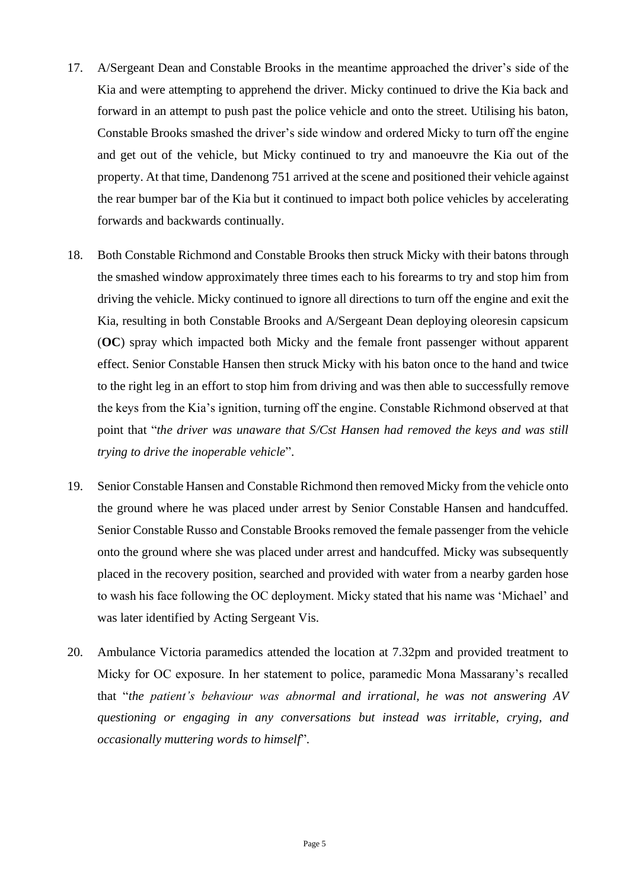- 17. A/Sergeant Dean and Constable Brooks in the meantime approached the driver's side of the Kia and were attempting to apprehend the driver. Micky continued to drive the Kia back and forward in an attempt to push past the police vehicle and onto the street. Utilising his baton, Constable Brooks smashed the driver's side window and ordered Micky to turn off the engine and get out of the vehicle, but Micky continued to try and manoeuvre the Kia out of the property. At that time, Dandenong 751 arrived at the scene and positioned their vehicle against the rear bumper bar of the Kia but it continued to impact both police vehicles by accelerating forwards and backwards continually.
- 18. Both Constable Richmond and Constable Brooks then struck Micky with their batons through the smashed window approximately three times each to his forearms to try and stop him from driving the vehicle. Micky continued to ignore all directions to turn off the engine and exit the Kia, resulting in both Constable Brooks and A/Sergeant Dean deploying oleoresin capsicum (**OC**) spray which impacted both Micky and the female front passenger without apparent effect. Senior Constable Hansen then struck Micky with his baton once to the hand and twice to the right leg in an effort to stop him from driving and was then able to successfully remove the keys from the Kia's ignition, turning off the engine. Constable Richmond observed at that point that "*the driver was unaware that S/Cst Hansen had removed the keys and was still trying to drive the inoperable vehicle*".
- 19. Senior Constable Hansen and Constable Richmond then removed Micky from the vehicle onto the ground where he was placed under arrest by Senior Constable Hansen and handcuffed. Senior Constable Russo and Constable Brooks removed the female passenger from the vehicle onto the ground where she was placed under arrest and handcuffed. Micky was subsequently placed in the recovery position, searched and provided with water from a nearby garden hose to wash his face following the OC deployment. Micky stated that his name was 'Michael' and was later identified by Acting Sergeant Vis.
- 20. Ambulance Victoria paramedics attended the location at 7.32pm and provided treatment to Micky for OC exposure. In her statement to police, paramedic Mona Massarany's recalled that "*the patient's behaviour was abnormal and irrational, he was not answering AV questioning or engaging in any conversations but instead was irritable, crying, and occasionally muttering words to himself*".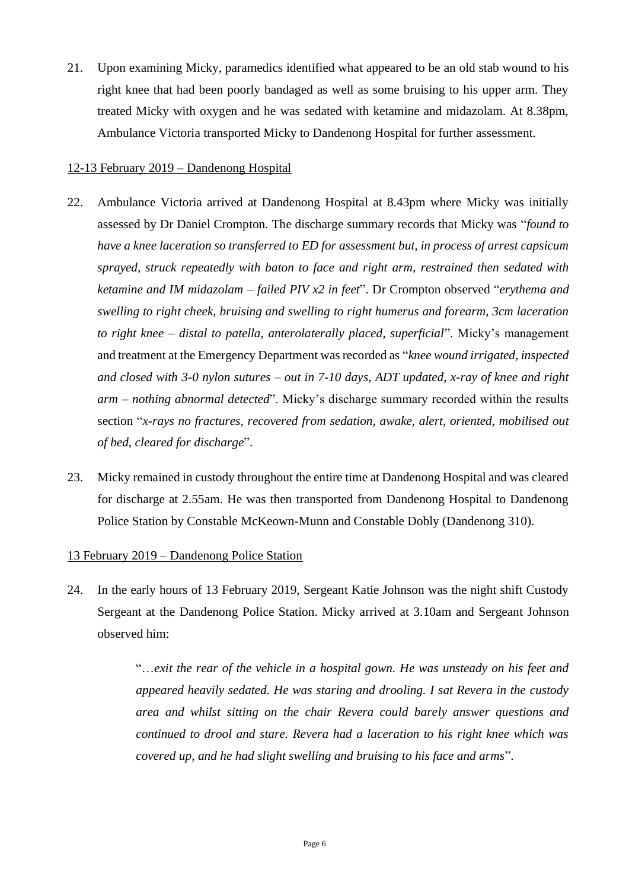21. Upon examining Micky, paramedics identified what appeared to be an old stab wound to his right knee that had been poorly bandaged as well as some bruising to his upper arm. They treated Micky with oxygen and he was sedated with ketamine and midazolam. At 8.38pm, Ambulance Victoria transported Micky to Dandenong Hospital for further assessment.

#### 12-13 February 2019 – Dandenong Hospital

- 22. Ambulance Victoria arrived at Dandenong Hospital at 8.43pm where Micky was initially assessed by Dr Daniel Crompton. The discharge summary records that Micky was "*found to have a knee laceration so transferred to ED for assessment but, in process of arrest capsicum sprayed, struck repeatedly with baton to face and right arm, restrained then sedated with ketamine and IM midazolam – failed PIV x2 in feet*". Dr Crompton observed "*erythema and swelling to right cheek, bruising and swelling to right humerus and forearm, 3cm laceration to right knee – distal to patella, anterolaterally placed, superficial*". Micky's management and treatment at the Emergency Department was recorded as "*knee wound irrigated, inspected and closed with 3-0 nylon sutures – out in 7-10 days, ADT updated, x-ray of knee and right arm – nothing abnormal detected*". Micky's discharge summary recorded within the results section "*x-rays no fractures, recovered from sedation, awake, alert, oriented, mobilised out of bed, cleared for discharge*".
- 23. Micky remained in custody throughout the entire time at Dandenong Hospital and was cleared for discharge at 2.55am. He was then transported from Dandenong Hospital to Dandenong Police Station by Constable McKeown-Munn and Constable Dobly (Dandenong 310).

#### 13 February 2019 – Dandenong Police Station

24. In the early hours of 13 February 2019, Sergeant Katie Johnson was the night shift Custody Sergeant at the Dandenong Police Station. Micky arrived at 3.10am and Sergeant Johnson observed him:

> "…*exit the rear of the vehicle in a hospital gown. He was unsteady on his feet and appeared heavily sedated. He was staring and drooling. I sat Revera in the custody area and whilst sitting on the chair Revera could barely answer questions and continued to drool and stare. Revera had a laceration to his right knee which was covered up, and he had slight swelling and bruising to his face and arms*".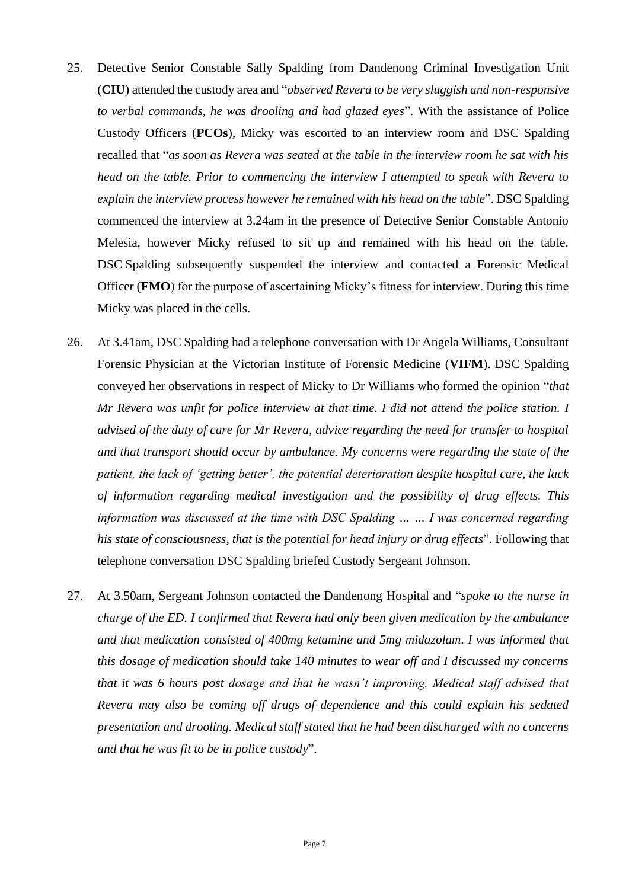- 25. Detective Senior Constable Sally Spalding from Dandenong Criminal Investigation Unit (**CIU**) attended the custody area and "*observed Revera to be very sluggish and non-responsive to verbal commands, he was drooling and had glazed eyes*". With the assistance of Police Custody Officers (**PCOs**), Micky was escorted to an interview room and DSC Spalding recalled that "*as soon as Revera was seated at the table in the interview room he sat with his head on the table. Prior to commencing the interview I attempted to speak with Revera to explain the interview process however he remained with his head on the table*". DSC Spalding commenced the interview at 3.24am in the presence of Detective Senior Constable Antonio Melesia, however Micky refused to sit up and remained with his head on the table. DSC Spalding subsequently suspended the interview and contacted a Forensic Medical Officer (**FMO**) for the purpose of ascertaining Micky's fitness for interview. During this time Micky was placed in the cells.
- 26. At 3.41am, DSC Spalding had a telephone conversation with Dr Angela Williams, Consultant Forensic Physician at the Victorian Institute of Forensic Medicine (**VIFM**). DSC Spalding conveyed her observations in respect of Micky to Dr Williams who formed the opinion "*that Mr Revera was unfit for police interview at that time. I did not attend the police station. I advised of the duty of care for Mr Revera, advice regarding the need for transfer to hospital and that transport should occur by ambulance. My concerns were regarding the state of the patient, the lack of 'getting better', the potential deterioration despite hospital care, the lack of information regarding medical investigation and the possibility of drug effects. This information was discussed at the time with DSC Spalding … … I was concerned regarding his state of consciousness, that is the potential for head injury or drug effects*". Following that telephone conversation DSC Spalding briefed Custody Sergeant Johnson.
- 27. At 3.50am, Sergeant Johnson contacted the Dandenong Hospital and "*spoke to the nurse in charge of the ED. I confirmed that Revera had only been given medication by the ambulance and that medication consisted of 400mg ketamine and 5mg midazolam. I was informed that this dosage of medication should take 140 minutes to wear off and I discussed my concerns that it was 6 hours post dosage and that he wasn't improving. Medical staff advised that Revera may also be coming off drugs of dependence and this could explain his sedated presentation and drooling. Medical staff stated that he had been discharged with no concerns and that he was fit to be in police custody*".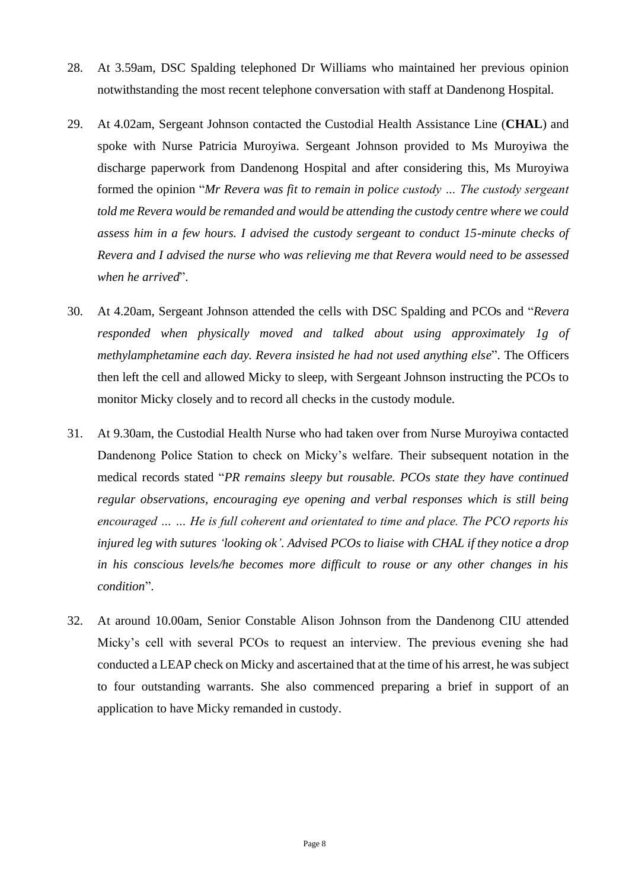- 28. At 3.59am, DSC Spalding telephoned Dr Williams who maintained her previous opinion notwithstanding the most recent telephone conversation with staff at Dandenong Hospital.
- 29. At 4.02am, Sergeant Johnson contacted the Custodial Health Assistance Line (**CHAL**) and spoke with Nurse Patricia Muroyiwa. Sergeant Johnson provided to Ms Muroyiwa the discharge paperwork from Dandenong Hospital and after considering this, Ms Muroyiwa formed the opinion "*Mr Revera was fit to remain in police custody … The custody sergeant told me Revera would be remanded and would be attending the custody centre where we could assess him in a few hours. I advised the custody sergeant to conduct 15-minute checks of Revera and I advised the nurse who was relieving me that Revera would need to be assessed when he arrived*".
- 30. At 4.20am, Sergeant Johnson attended the cells with DSC Spalding and PCOs and "*Revera responded when physically moved and talked about using approximately 1g of methylamphetamine each day. Revera insisted he had not used anything else*". The Officers then left the cell and allowed Micky to sleep, with Sergeant Johnson instructing the PCOs to monitor Micky closely and to record all checks in the custody module.
- 31. At 9.30am, the Custodial Health Nurse who had taken over from Nurse Muroyiwa contacted Dandenong Police Station to check on Micky's welfare. Their subsequent notation in the medical records stated "*PR remains sleepy but rousable. PCOs state they have continued regular observations, encouraging eye opening and verbal responses which is still being encouraged … … He is full coherent and orientated to time and place. The PCO reports his injured leg with sutures 'looking ok'. Advised PCOs to liaise with CHAL if they notice a drop in his conscious levels/he becomes more difficult to rouse or any other changes in his condition*".
- 32. At around 10.00am, Senior Constable Alison Johnson from the Dandenong CIU attended Micky's cell with several PCOs to request an interview. The previous evening she had conducted a LEAP check on Micky and ascertained that at the time of his arrest, he was subject to four outstanding warrants. She also commenced preparing a brief in support of an application to have Micky remanded in custody.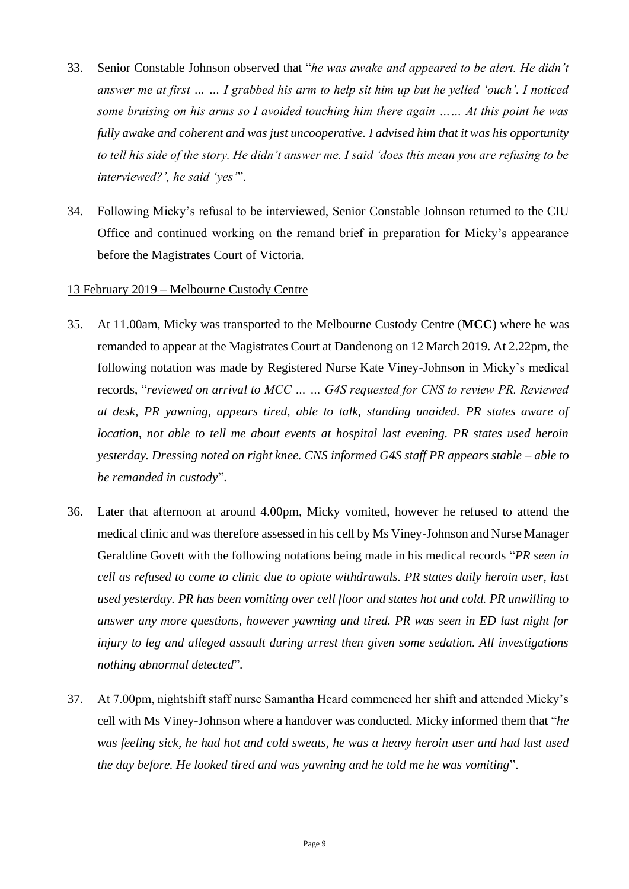- 33. Senior Constable Johnson observed that "*he was awake and appeared to be alert. He didn't answer me at first … … I grabbed his arm to help sit him up but he yelled 'ouch'. I noticed some bruising on his arms so I avoided touching him there again …… At this point he was fully awake and coherent and was just uncooperative. I advised him that it was his opportunity to tell his side of the story. He didn't answer me. I said 'does this mean you are refusing to be interviewed?', he said 'yes'*".
- 34. Following Micky's refusal to be interviewed, Senior Constable Johnson returned to the CIU Office and continued working on the remand brief in preparation for Micky's appearance before the Magistrates Court of Victoria.

#### 13 February 2019 – Melbourne Custody Centre

- 35. At 11.00am, Micky was transported to the Melbourne Custody Centre (**MCC**) where he was remanded to appear at the Magistrates Court at Dandenong on 12 March 2019. At 2.22pm, the following notation was made by Registered Nurse Kate Viney-Johnson in Micky's medical records, "*reviewed on arrival to MCC … … G4S requested for CNS to review PR. Reviewed at desk, PR yawning, appears tired, able to talk, standing unaided. PR states aware of location, not able to tell me about events at hospital last evening. PR states used heroin yesterday. Dressing noted on right knee. CNS informed G4S staff PR appears stable – able to be remanded in custody*".
- 36. Later that afternoon at around 4.00pm, Micky vomited, however he refused to attend the medical clinic and was therefore assessed in his cell by Ms Viney-Johnson and Nurse Manager Geraldine Govett with the following notations being made in his medical records "*PR seen in cell as refused to come to clinic due to opiate withdrawals. PR states daily heroin user, last used yesterday. PR has been vomiting over cell floor and states hot and cold. PR unwilling to answer any more questions, however yawning and tired. PR was seen in ED last night for injury to leg and alleged assault during arrest then given some sedation. All investigations nothing abnormal detected*".
- 37. At 7.00pm, nightshift staff nurse Samantha Heard commenced her shift and attended Micky's cell with Ms Viney-Johnson where a handover was conducted. Micky informed them that "*he was feeling sick, he had hot and cold sweats, he was a heavy heroin user and had last used the day before. He looked tired and was yawning and he told me he was vomiting*".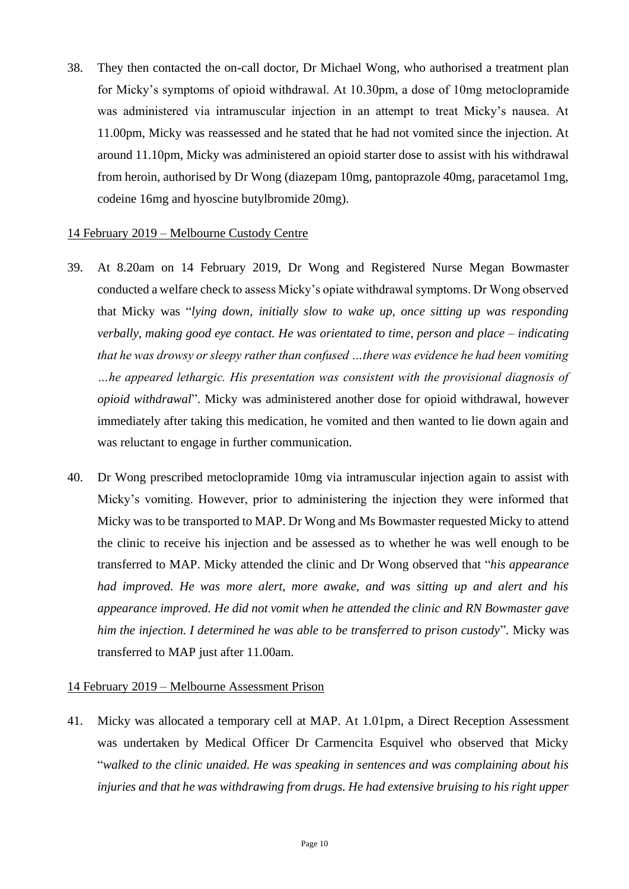38. They then contacted the on-call doctor, Dr Michael Wong, who authorised a treatment plan for Micky's symptoms of opioid withdrawal. At 10.30pm, a dose of 10mg metoclopramide was administered via intramuscular injection in an attempt to treat Micky's nausea. At 11.00pm, Micky was reassessed and he stated that he had not vomited since the injection. At around 11.10pm, Micky was administered an opioid starter dose to assist with his withdrawal from heroin, authorised by Dr Wong (diazepam 10mg, pantoprazole 40mg, paracetamol 1mg, codeine 16mg and hyoscine butylbromide 20mg).

#### 14 February 2019 – Melbourne Custody Centre

- 39. At 8.20am on 14 February 2019, Dr Wong and Registered Nurse Megan Bowmaster conducted a welfare check to assess Micky's opiate withdrawal symptoms. Dr Wong observed that Micky was "*lying down, initially slow to wake up, once sitting up was responding verbally, making good eye contact. He was orientated to time, person and place – indicating that he was drowsy or sleepy rather than confused …there was evidence he had been vomiting …he appeared lethargic. His presentation was consistent with the provisional diagnosis of opioid withdrawal*". Micky was administered another dose for opioid withdrawal, however immediately after taking this medication, he vomited and then wanted to lie down again and was reluctant to engage in further communication.
- 40. Dr Wong prescribed metoclopramide 10mg via intramuscular injection again to assist with Micky's vomiting. However, prior to administering the injection they were informed that Micky was to be transported to MAP. Dr Wong and Ms Bowmaster requested Micky to attend the clinic to receive his injection and be assessed as to whether he was well enough to be transferred to MAP. Micky attended the clinic and Dr Wong observed that "*his appearance had improved. He was more alert, more awake, and was sitting up and alert and his appearance improved. He did not vomit when he attended the clinic and RN Bowmaster gave him the injection. I determined he was able to be transferred to prison custody*". Micky was transferred to MAP just after 11.00am.

#### 14 February 2019 – Melbourne Assessment Prison

41. Micky was allocated a temporary cell at MAP. At 1.01pm, a Direct Reception Assessment was undertaken by Medical Officer Dr Carmencita Esquivel who observed that Micky "*walked to the clinic unaided. He was speaking in sentences and was complaining about his injuries and that he was withdrawing from drugs. He had extensive bruising to his right upper*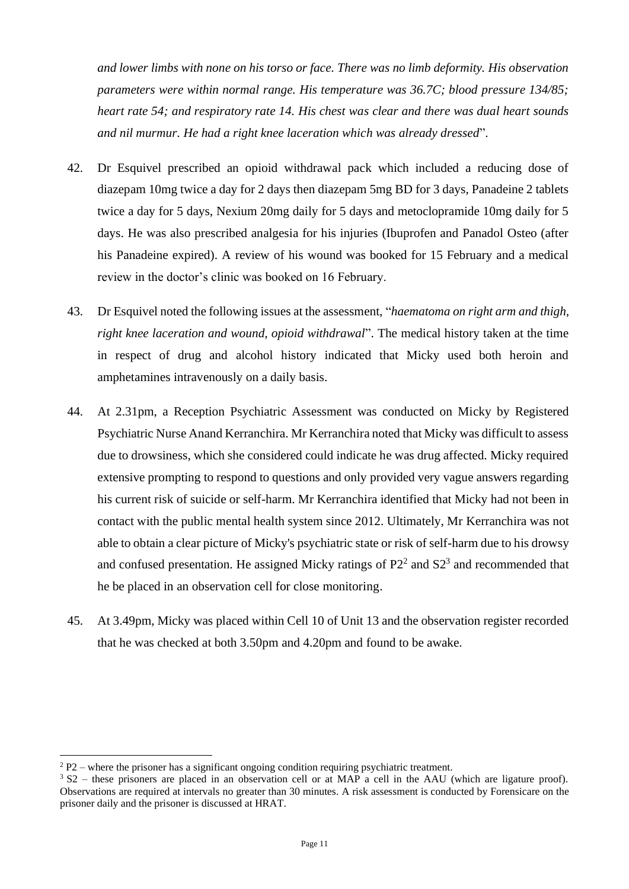*and lower limbs with none on his torso or face. There was no limb deformity. His observation parameters were within normal range. His temperature was 36.7C; blood pressure 134/85; heart rate 54; and respiratory rate 14. His chest was clear and there was dual heart sounds and nil murmur. He had a right knee laceration which was already dressed*".

- 42. Dr Esquivel prescribed an opioid withdrawal pack which included a reducing dose of diazepam 10mg twice a day for 2 days then diazepam 5mg BD for 3 days, Panadeine 2 tablets twice a day for 5 days, Nexium 20mg daily for 5 days and metoclopramide 10mg daily for 5 days. He was also prescribed analgesia for his injuries (Ibuprofen and Panadol Osteo (after his Panadeine expired). A review of his wound was booked for 15 February and a medical review in the doctor's clinic was booked on 16 February.
- 43. Dr Esquivel noted the following issues at the assessment, "*haematoma on right arm and thigh, right knee laceration and wound, opioid withdrawal*". The medical history taken at the time in respect of drug and alcohol history indicated that Micky used both heroin and amphetamines intravenously on a daily basis.
- 44. At 2.31pm, a Reception Psychiatric Assessment was conducted on Micky by Registered Psychiatric Nurse Anand Kerranchira. Mr Kerranchira noted that Micky was difficult to assess due to drowsiness, which she considered could indicate he was drug affected. Micky required extensive prompting to respond to questions and only provided very vague answers regarding his current risk of suicide or self-harm. Mr Kerranchira identified that Micky had not been in contact with the public mental health system since 2012. Ultimately, Mr Kerranchira was not able to obtain a clear picture of Micky's psychiatric state or risk of self-harm due to his drowsy and confused presentation. He assigned Micky ratings of  $P2<sup>2</sup>$  and  $S2<sup>3</sup>$  and recommended that he be placed in an observation cell for close monitoring.
- 45. At 3.49pm, Micky was placed within Cell 10 of Unit 13 and the observation register recorded that he was checked at both 3.50pm and 4.20pm and found to be awake.

 $2 P2$  – where the prisoner has a significant ongoing condition requiring psychiatric treatment.

 $3 S2$  – these prisoners are placed in an observation cell or at MAP a cell in the AAU (which are ligature proof). Observations are required at intervals no greater than 30 minutes. A risk assessment is conducted by Forensicare on the prisoner daily and the prisoner is discussed at HRAT.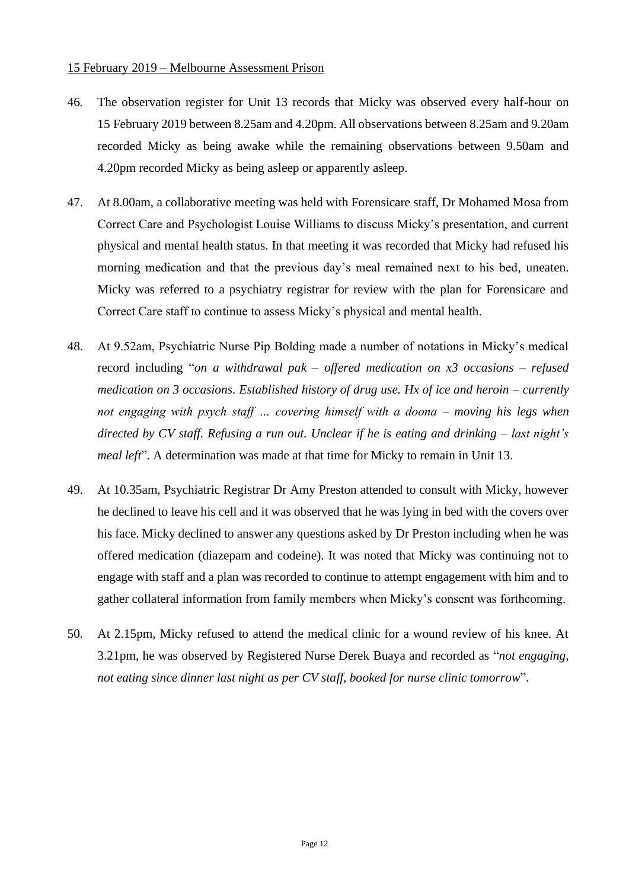#### 15 February 2019 – Melbourne Assessment Prison

- 46. The observation register for Unit 13 records that Micky was observed every half-hour on 15 February 2019 between 8.25am and 4.20pm. All observations between 8.25am and 9.20am recorded Micky as being awake while the remaining observations between 9.50am and 4.20pm recorded Micky as being asleep or apparently asleep.
- 47. At 8.00am, a collaborative meeting was held with Forensicare staff, Dr Mohamed Mosa from Correct Care and Psychologist Louise Williams to discuss Micky's presentation, and current physical and mental health status. In that meeting it was recorded that Micky had refused his morning medication and that the previous day's meal remained next to his bed, uneaten. Micky was referred to a psychiatry registrar for review with the plan for Forensicare and Correct Care staff to continue to assess Micky's physical and mental health.
- 48. At 9.52am, Psychiatric Nurse Pip Bolding made a number of notations in Micky's medical record including "*on a withdrawal pak – offered medication on x3 occasions – refused medication on 3 occasions. Established history of drug use. Hx of ice and heroin – currently not engaging with psych staff … covering himself with a doona – moving his legs when directed by CV staff. Refusing a run out. Unclear if he is eating and drinking – last night's meal left*". A determination was made at that time for Micky to remain in Unit 13.
- 49. At 10.35am, Psychiatric Registrar Dr Amy Preston attended to consult with Micky, however he declined to leave his cell and it was observed that he was lying in bed with the covers over his face. Micky declined to answer any questions asked by Dr Preston including when he was offered medication (diazepam and codeine). It was noted that Micky was continuing not to engage with staff and a plan was recorded to continue to attempt engagement with him and to gather collateral information from family members when Micky's consent was forthcoming.
- 50. At 2.15pm, Micky refused to attend the medical clinic for a wound review of his knee. At 3.21pm, he was observed by Registered Nurse Derek Buaya and recorded as "*not engaging, not eating since dinner last night as per CV staff, booked for nurse clinic tomorrow*".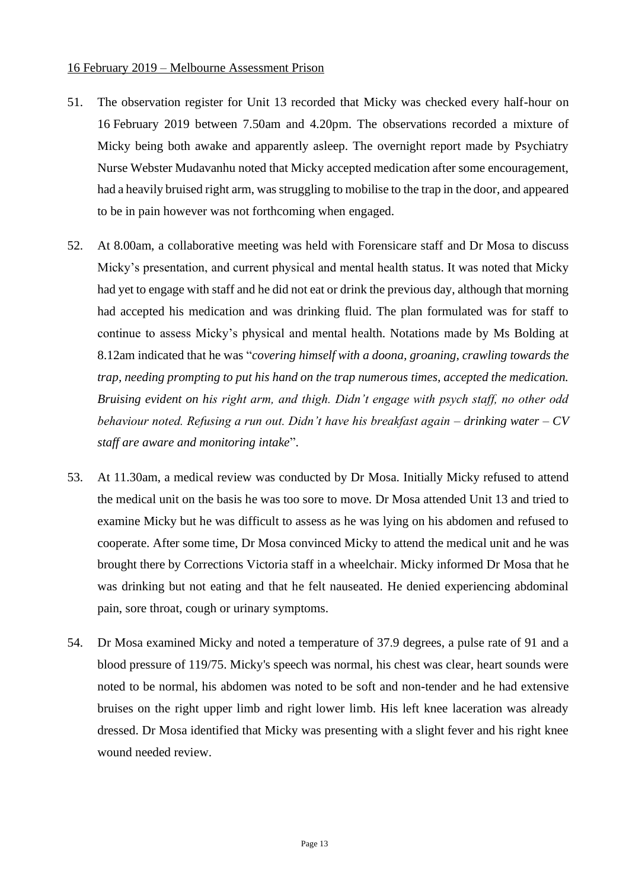#### 16 February 2019 – Melbourne Assessment Prison

- 51. The observation register for Unit 13 recorded that Micky was checked every half-hour on 16 February 2019 between 7.50am and 4.20pm. The observations recorded a mixture of Micky being both awake and apparently asleep. The overnight report made by Psychiatry Nurse Webster Mudavanhu noted that Micky accepted medication after some encouragement, had a heavily bruised right arm, was struggling to mobilise to the trap in the door, and appeared to be in pain however was not forthcoming when engaged.
- 52. At 8.00am, a collaborative meeting was held with Forensicare staff and Dr Mosa to discuss Micky's presentation, and current physical and mental health status. It was noted that Micky had yet to engage with staff and he did not eat or drink the previous day, although that morning had accepted his medication and was drinking fluid. The plan formulated was for staff to continue to assess Micky's physical and mental health. Notations made by Ms Bolding at 8.12am indicated that he was "*covering himself with a doona, groaning, crawling towards the trap, needing prompting to put his hand on the trap numerous times, accepted the medication. Bruising evident on his right arm, and thigh. Didn't engage with psych staff, no other odd behaviour noted. Refusing a run out. Didn't have his breakfast again – drinking water – CV staff are aware and monitoring intake*".
- 53. At 11.30am, a medical review was conducted by Dr Mosa. Initially Micky refused to attend the medical unit on the basis he was too sore to move. Dr Mosa attended Unit 13 and tried to examine Micky but he was difficult to assess as he was lying on his abdomen and refused to cooperate. After some time, Dr Mosa convinced Micky to attend the medical unit and he was brought there by Corrections Victoria staff in a wheelchair. Micky informed Dr Mosa that he was drinking but not eating and that he felt nauseated. He denied experiencing abdominal pain, sore throat, cough or urinary symptoms.
- 54. Dr Mosa examined Micky and noted a temperature of 37.9 degrees, a pulse rate of 91 and a blood pressure of 119/75. Micky's speech was normal, his chest was clear, heart sounds were noted to be normal, his abdomen was noted to be soft and non-tender and he had extensive bruises on the right upper limb and right lower limb. His left knee laceration was already dressed. Dr Mosa identified that Micky was presenting with a slight fever and his right knee wound needed review.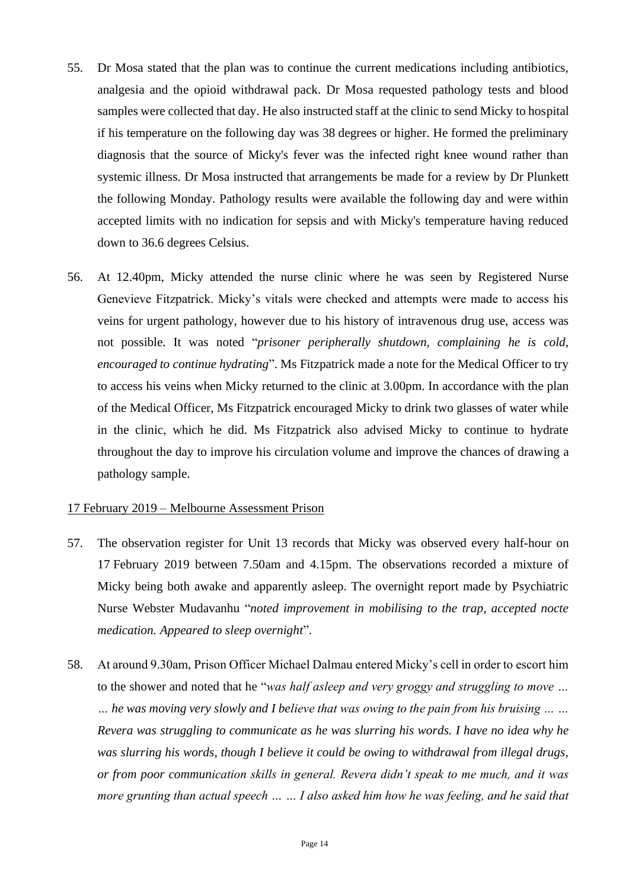- 55. Dr Mosa stated that the plan was to continue the current medications including antibiotics, analgesia and the opioid withdrawal pack. Dr Mosa requested pathology tests and blood samples were collected that day. He also instructed staff at the clinic to send Micky to hospital if his temperature on the following day was 38 degrees or higher. He formed the preliminary diagnosis that the source of Micky's fever was the infected right knee wound rather than systemic illness. Dr Mosa instructed that arrangements be made for a review by Dr Plunkett the following Monday. Pathology results were available the following day and were within accepted limits with no indication for sepsis and with Micky's temperature having reduced down to 36.6 degrees Celsius.
- 56. At 12.40pm, Micky attended the nurse clinic where he was seen by Registered Nurse Genevieve Fitzpatrick. Micky's vitals were checked and attempts were made to access his veins for urgent pathology, however due to his history of intravenous drug use, access was not possible. It was noted "*prisoner peripherally shutdown, complaining he is cold, encouraged to continue hydrating*". Ms Fitzpatrick made a note for the Medical Officer to try to access his veins when Micky returned to the clinic at 3.00pm. In accordance with the plan of the Medical Officer, Ms Fitzpatrick encouraged Micky to drink two glasses of water while in the clinic, which he did. Ms Fitzpatrick also advised Micky to continue to hydrate throughout the day to improve his circulation volume and improve the chances of drawing a pathology sample.

#### 17 February 2019 – Melbourne Assessment Prison

- 57. The observation register for Unit 13 records that Micky was observed every half-hour on 17 February 2019 between 7.50am and 4.15pm. The observations recorded a mixture of Micky being both awake and apparently asleep. The overnight report made by Psychiatric Nurse Webster Mudavanhu "*noted improvement in mobilising to the trap, accepted nocte medication. Appeared to sleep overnight*".
- 58. At around 9.30am, Prison Officer Michael Dalmau entered Micky's cell in order to escort him to the shower and noted that he "*was half asleep and very groggy and struggling to move … … he was moving very slowly and I believe that was owing to the pain from his bruising … … Revera was struggling to communicate as he was slurring his words. I have no idea why he was slurring his words, though I believe it could be owing to withdrawal from illegal drugs, or from poor communication skills in general. Revera didn't speak to me much, and it was more grunting than actual speech … … I also asked him how he was feeling, and he said that*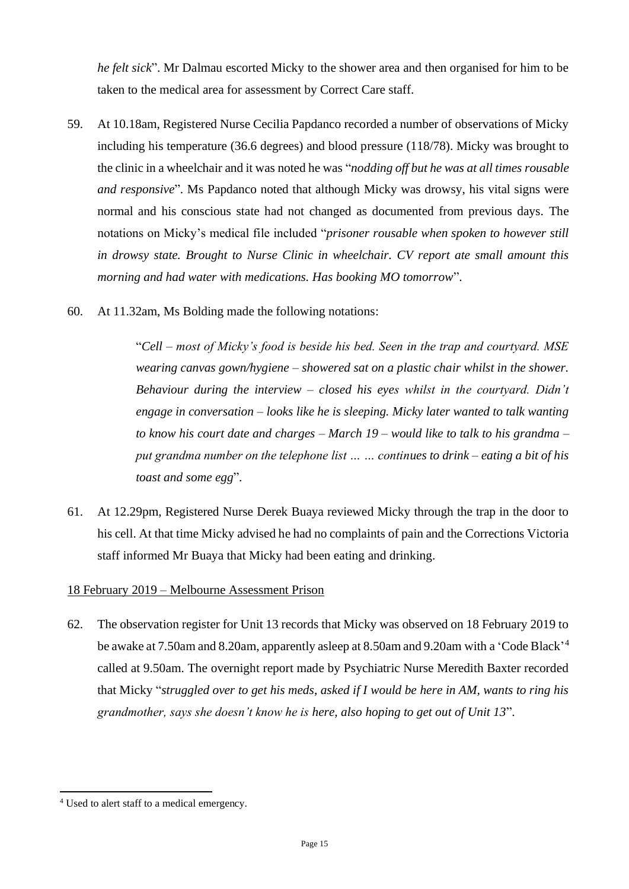*he felt sick*". Mr Dalmau escorted Micky to the shower area and then organised for him to be taken to the medical area for assessment by Correct Care staff.

- 59. At 10.18am, Registered Nurse Cecilia Papdanco recorded a number of observations of Micky including his temperature (36.6 degrees) and blood pressure (118/78). Micky was brought to the clinic in a wheelchair and it was noted he was "*nodding off but he was at all times rousable and responsive*". Ms Papdanco noted that although Micky was drowsy, his vital signs were normal and his conscious state had not changed as documented from previous days. The notations on Micky's medical file included "*prisoner rousable when spoken to however still in drowsy state. Brought to Nurse Clinic in wheelchair. CV report ate small amount this morning and had water with medications. Has booking MO tomorrow*".
- 60. At 11.32am, Ms Bolding made the following notations:

"*Cell – most of Micky's food is beside his bed. Seen in the trap and courtyard. MSE wearing canvas gown/hygiene – showered sat on a plastic chair whilst in the shower. Behaviour during the interview – closed his eyes whilst in the courtyard. Didn't engage in conversation – looks like he is sleeping. Micky later wanted to talk wanting to know his court date and charges – March 19 – would like to talk to his grandma – put grandma number on the telephone list … … continues to drink – eating a bit of his toast and some egg*".

61. At 12.29pm, Registered Nurse Derek Buaya reviewed Micky through the trap in the door to his cell. At that time Micky advised he had no complaints of pain and the Corrections Victoria staff informed Mr Buaya that Micky had been eating and drinking.

## 18 February 2019 – Melbourne Assessment Prison

62. The observation register for Unit 13 records that Micky was observed on 18 February 2019 to be awake at 7.50am and 8.20am, apparently asleep at 8.50am and 9.20am with a 'Code Black'<sup>4</sup> called at 9.50am. The overnight report made by Psychiatric Nurse Meredith Baxter recorded that Micky "*struggled over to get his meds, asked if I would be here in AM, wants to ring his grandmother, says she doesn't know he is here, also hoping to get out of Unit 13*".

<sup>4</sup> Used to alert staff to a medical emergency.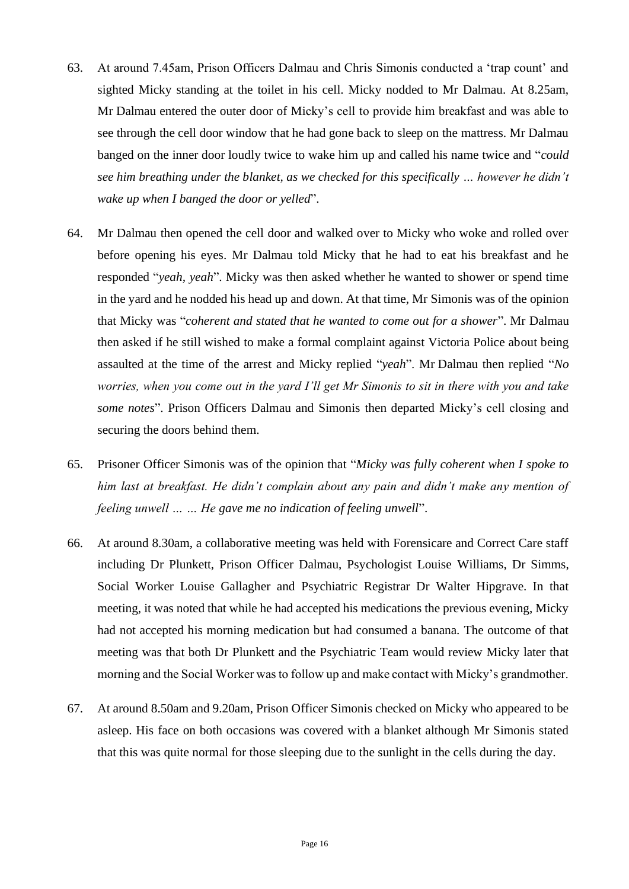- 63. At around 7.45am, Prison Officers Dalmau and Chris Simonis conducted a 'trap count' and sighted Micky standing at the toilet in his cell. Micky nodded to Mr Dalmau. At 8.25am, Mr Dalmau entered the outer door of Micky's cell to provide him breakfast and was able to see through the cell door window that he had gone back to sleep on the mattress. Mr Dalmau banged on the inner door loudly twice to wake him up and called his name twice and "*could see him breathing under the blanket, as we checked for this specifically … however he didn't wake up when I banged the door or yelled*".
- 64. Mr Dalmau then opened the cell door and walked over to Micky who woke and rolled over before opening his eyes. Mr Dalmau told Micky that he had to eat his breakfast and he responded "*yeah, yeah*". Micky was then asked whether he wanted to shower or spend time in the yard and he nodded his head up and down. At that time, Mr Simonis was of the opinion that Micky was "*coherent and stated that he wanted to come out for a shower*". Mr Dalmau then asked if he still wished to make a formal complaint against Victoria Police about being assaulted at the time of the arrest and Micky replied "*yeah*". Mr Dalmau then replied "*No worries, when you come out in the yard I'll get Mr Simonis to sit in there with you and take some notes*". Prison Officers Dalmau and Simonis then departed Micky's cell closing and securing the doors behind them.
- 65. Prisoner Officer Simonis was of the opinion that "*Micky was fully coherent when I spoke to him last at breakfast. He didn't complain about any pain and didn't make any mention of feeling unwell … … He gave me no indication of feeling unwell*".
- 66. At around 8.30am, a collaborative meeting was held with Forensicare and Correct Care staff including Dr Plunkett, Prison Officer Dalmau, Psychologist Louise Williams, Dr Simms, Social Worker Louise Gallagher and Psychiatric Registrar Dr Walter Hipgrave. In that meeting, it was noted that while he had accepted his medications the previous evening, Micky had not accepted his morning medication but had consumed a banana. The outcome of that meeting was that both Dr Plunkett and the Psychiatric Team would review Micky later that morning and the Social Worker was to follow up and make contact with Micky's grandmother.
- 67. At around 8.50am and 9.20am, Prison Officer Simonis checked on Micky who appeared to be asleep. His face on both occasions was covered with a blanket although Mr Simonis stated that this was quite normal for those sleeping due to the sunlight in the cells during the day.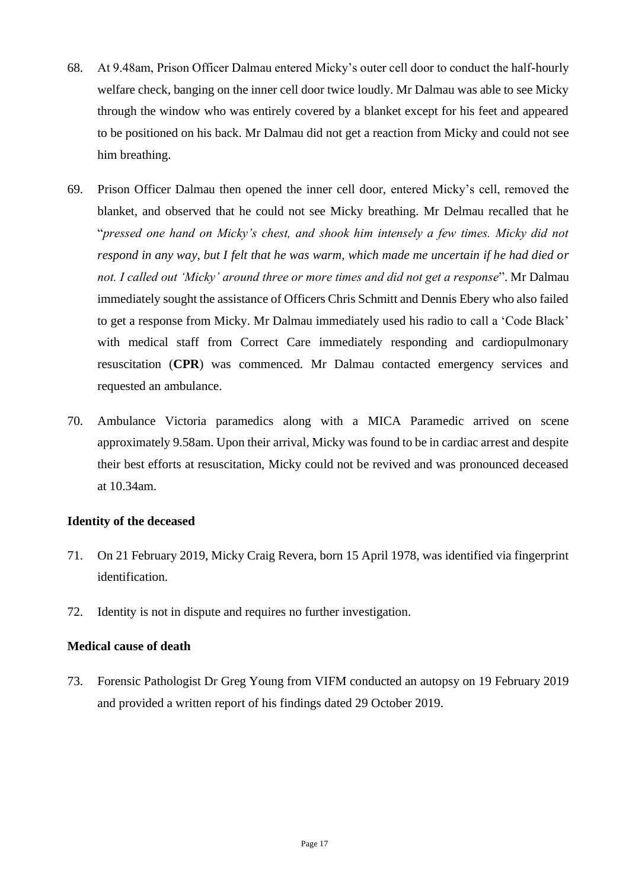- 68. At 9.48am, Prison Officer Dalmau entered Micky's outer cell door to conduct the half-hourly welfare check, banging on the inner cell door twice loudly. Mr Dalmau was able to see Micky through the window who was entirely covered by a blanket except for his feet and appeared to be positioned on his back. Mr Dalmau did not get a reaction from Micky and could not see him breathing.
- 69. Prison Officer Dalmau then opened the inner cell door, entered Micky's cell, removed the blanket, and observed that he could not see Micky breathing. Mr Delmau recalled that he "*pressed one hand on Micky's chest, and shook him intensely a few times. Micky did not respond in any way, but I felt that he was warm, which made me uncertain if he had died or not. I called out 'Micky' around three or more times and did not get a response*". Mr Dalmau immediately sought the assistance of Officers Chris Schmitt and Dennis Ebery who also failed to get a response from Micky. Mr Dalmau immediately used his radio to call a 'Code Black' with medical staff from Correct Care immediately responding and cardiopulmonary resuscitation (**CPR**) was commenced. Mr Dalmau contacted emergency services and requested an ambulance.
- 70. Ambulance Victoria paramedics along with a MICA Paramedic arrived on scene approximately 9.58am. Upon their arrival, Micky was found to be in cardiac arrest and despite their best efforts at resuscitation, Micky could not be revived and was pronounced deceased at 10.34am.

#### **Identity of the deceased**

- 71. On 21 February 2019, Micky Craig Revera, born 15 April 1978, was identified via fingerprint identification.
- 72. Identity is not in dispute and requires no further investigation.

## **Medical cause of death**

73. Forensic Pathologist Dr Greg Young from VIFM conducted an autopsy on 19 February 2019 and provided a written report of his findings dated 29 October 2019.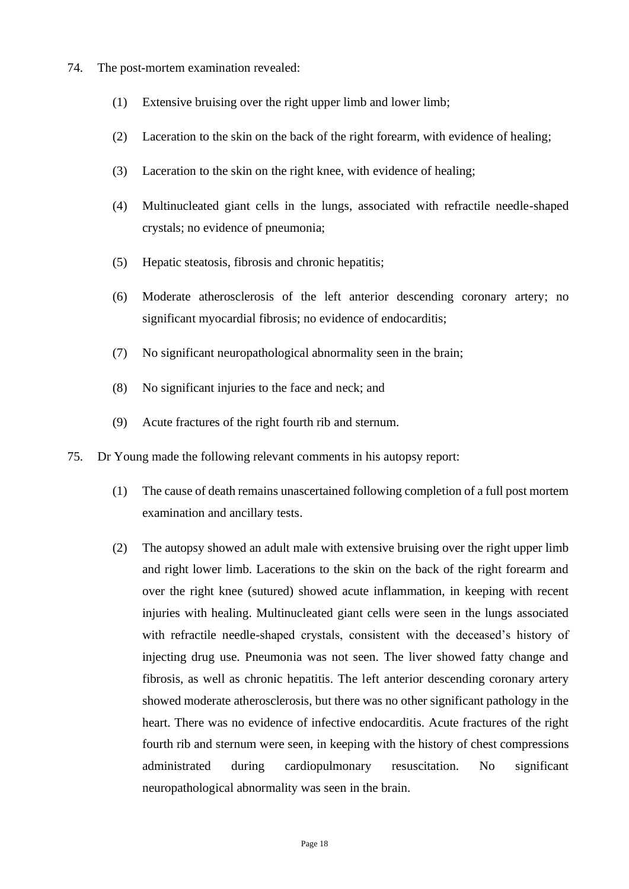- 74. The post-mortem examination revealed:
	- (1) Extensive bruising over the right upper limb and lower limb;
	- (2) Laceration to the skin on the back of the right forearm, with evidence of healing;
	- (3) Laceration to the skin on the right knee, with evidence of healing;
	- (4) Multinucleated giant cells in the lungs, associated with refractile needle-shaped crystals; no evidence of pneumonia;
	- (5) Hepatic steatosis, fibrosis and chronic hepatitis;
	- (6) Moderate atherosclerosis of the left anterior descending coronary artery; no significant myocardial fibrosis; no evidence of endocarditis;
	- (7) No significant neuropathological abnormality seen in the brain;
	- (8) No significant injuries to the face and neck; and
	- (9) Acute fractures of the right fourth rib and sternum.
- 75. Dr Young made the following relevant comments in his autopsy report:
	- (1) The cause of death remains unascertained following completion of a full post mortem examination and ancillary tests.
	- (2) The autopsy showed an adult male with extensive bruising over the right upper limb and right lower limb. Lacerations to the skin on the back of the right forearm and over the right knee (sutured) showed acute inflammation, in keeping with recent injuries with healing. Multinucleated giant cells were seen in the lungs associated with refractile needle-shaped crystals, consistent with the deceased's history of injecting drug use. Pneumonia was not seen. The liver showed fatty change and fibrosis, as well as chronic hepatitis. The left anterior descending coronary artery showed moderate atherosclerosis, but there was no other significant pathology in the heart. There was no evidence of infective endocarditis. Acute fractures of the right fourth rib and sternum were seen, in keeping with the history of chest compressions administrated during cardiopulmonary resuscitation. No significant neuropathological abnormality was seen in the brain.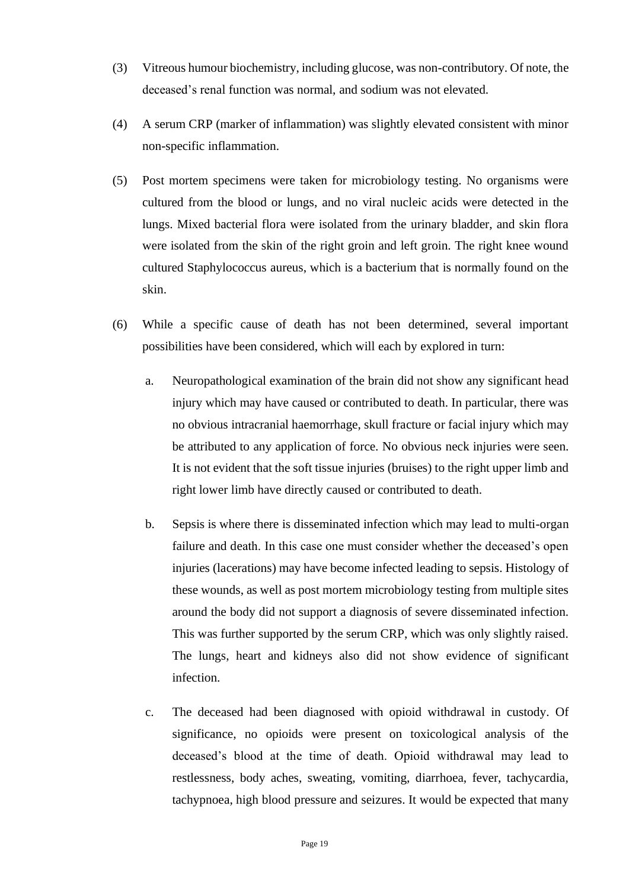- (3) Vitreous humour biochemistry, including glucose, was non-contributory. Of note, the deceased's renal function was normal, and sodium was not elevated.
- (4) A serum CRP (marker of inflammation) was slightly elevated consistent with minor non-specific inflammation.
- (5) Post mortem specimens were taken for microbiology testing. No organisms were cultured from the blood or lungs, and no viral nucleic acids were detected in the lungs. Mixed bacterial flora were isolated from the urinary bladder, and skin flora were isolated from the skin of the right groin and left groin. The right knee wound cultured Staphylococcus aureus, which is a bacterium that is normally found on the skin.
- (6) While a specific cause of death has not been determined, several important possibilities have been considered, which will each by explored in turn:
	- a. Neuropathological examination of the brain did not show any significant head injury which may have caused or contributed to death. In particular, there was no obvious intracranial haemorrhage, skull fracture or facial injury which may be attributed to any application of force. No obvious neck injuries were seen. It is not evident that the soft tissue injuries (bruises) to the right upper limb and right lower limb have directly caused or contributed to death.
	- b. Sepsis is where there is disseminated infection which may lead to multi-organ failure and death. In this case one must consider whether the deceased's open injuries (lacerations) may have become infected leading to sepsis. Histology of these wounds, as well as post mortem microbiology testing from multiple sites around the body did not support a diagnosis of severe disseminated infection. This was further supported by the serum CRP, which was only slightly raised. The lungs, heart and kidneys also did not show evidence of significant infection.
	- c. The deceased had been diagnosed with opioid withdrawal in custody. Of significance, no opioids were present on toxicological analysis of the deceased's blood at the time of death. Opioid withdrawal may lead to restlessness, body aches, sweating, vomiting, diarrhoea, fever, tachycardia, tachypnoea, high blood pressure and seizures. It would be expected that many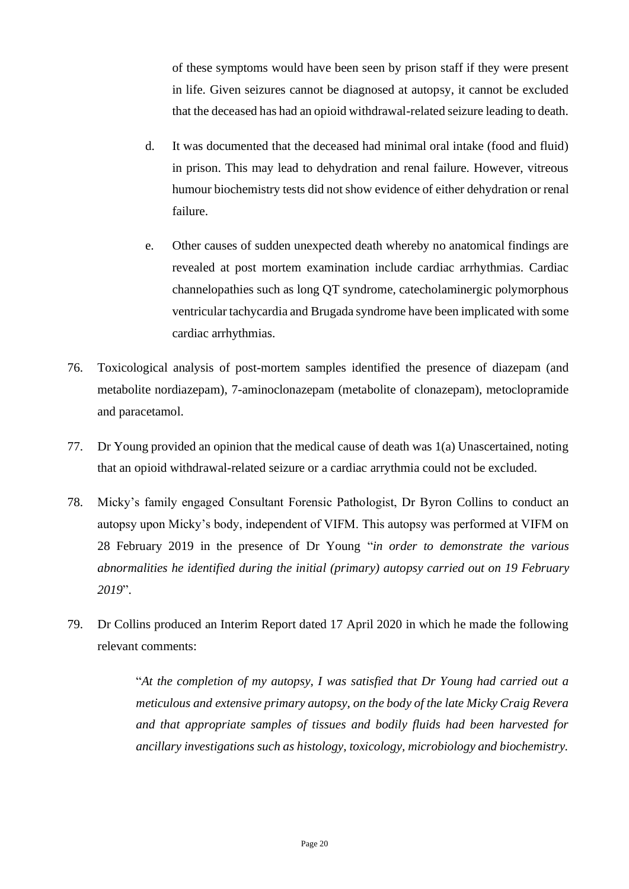of these symptoms would have been seen by prison staff if they were present in life. Given seizures cannot be diagnosed at autopsy, it cannot be excluded that the deceased has had an opioid withdrawal-related seizure leading to death.

- d. It was documented that the deceased had minimal oral intake (food and fluid) in prison. This may lead to dehydration and renal failure. However, vitreous humour biochemistry tests did not show evidence of either dehydration or renal failure.
- e. Other causes of sudden unexpected death whereby no anatomical findings are revealed at post mortem examination include cardiac arrhythmias. Cardiac channelopathies such as long QT syndrome, catecholaminergic polymorphous ventricular tachycardia and Brugada syndrome have been implicated with some cardiac arrhythmias.
- 76. Toxicological analysis of post-mortem samples identified the presence of diazepam (and metabolite nordiazepam), 7-aminoclonazepam (metabolite of clonazepam), metoclopramide and paracetamol.
- 77. Dr Young provided an opinion that the medical cause of death was 1(a) Unascertained, noting that an opioid withdrawal-related seizure or a cardiac arrythmia could not be excluded.
- 78. Micky's family engaged Consultant Forensic Pathologist, Dr Byron Collins to conduct an autopsy upon Micky's body, independent of VIFM. This autopsy was performed at VIFM on 28 February 2019 in the presence of Dr Young "*in order to demonstrate the various abnormalities he identified during the initial (primary) autopsy carried out on 19 February 2019*".
- 79. Dr Collins produced an Interim Report dated 17 April 2020 in which he made the following relevant comments:

"*At the completion of my autopsy, I was satisfied that Dr Young had carried out a meticulous and extensive primary autopsy, on the body of the late Micky Craig Revera and that appropriate samples of tissues and bodily fluids had been harvested for ancillary investigations such as histology, toxicology, microbiology and biochemistry.*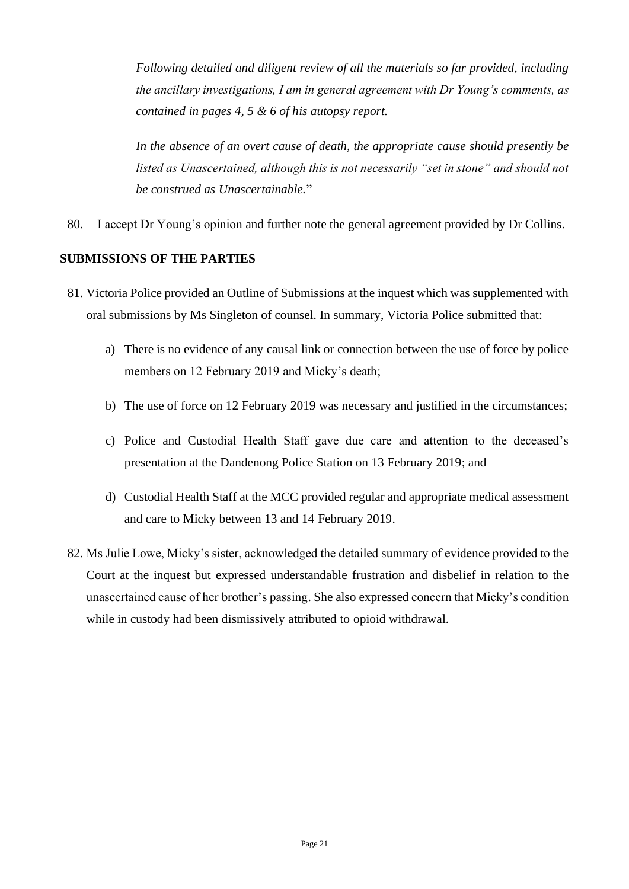*Following detailed and diligent review of all the materials so far provided, including the ancillary investigations, I am in general agreement with Dr Young's comments, as contained in pages 4, 5 & 6 of his autopsy report.*

*In the absence of an overt cause of death, the appropriate cause should presently be listed as Unascertained, although this is not necessarily "set in stone" and should not be construed as Unascertainable.*"

80. I accept Dr Young's opinion and further note the general agreement provided by Dr Collins.

## **SUBMISSIONS OF THE PARTIES**

- 81. Victoria Police provided an Outline of Submissions at the inquest which was supplemented with oral submissions by Ms Singleton of counsel. In summary, Victoria Police submitted that:
	- a) There is no evidence of any causal link or connection between the use of force by police members on 12 February 2019 and Micky's death;
	- b) The use of force on 12 February 2019 was necessary and justified in the circumstances;
	- c) Police and Custodial Health Staff gave due care and attention to the deceased's presentation at the Dandenong Police Station on 13 February 2019; and
	- d) Custodial Health Staff at the MCC provided regular and appropriate medical assessment and care to Micky between 13 and 14 February 2019.
- 82. Ms Julie Lowe, Micky's sister, acknowledged the detailed summary of evidence provided to the Court at the inquest but expressed understandable frustration and disbelief in relation to the unascertained cause of her brother's passing. She also expressed concern that Micky's condition while in custody had been dismissively attributed to opioid withdrawal.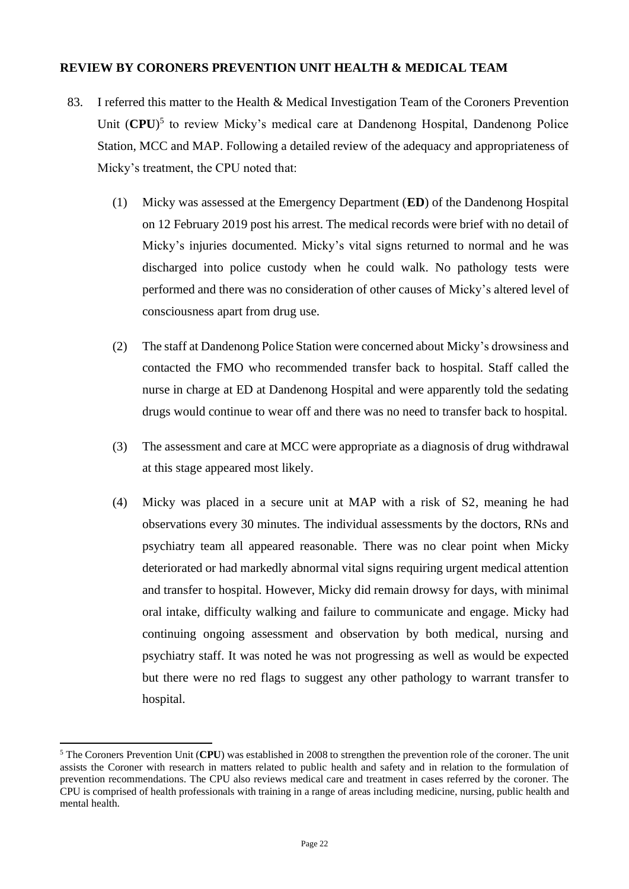#### **REVIEW BY CORONERS PREVENTION UNIT HEALTH & MEDICAL TEAM**

- 83. I referred this matter to the Health & Medical Investigation Team of the Coroners Prevention Unit (CPU)<sup>5</sup> to review Micky's medical care at Dandenong Hospital, Dandenong Police Station, MCC and MAP. Following a detailed review of the adequacy and appropriateness of Micky's treatment, the CPU noted that:
	- (1) Micky was assessed at the Emergency Department (**ED**) of the Dandenong Hospital on 12 February 2019 post his arrest. The medical records were brief with no detail of Micky's injuries documented. Micky's vital signs returned to normal and he was discharged into police custody when he could walk. No pathology tests were performed and there was no consideration of other causes of Micky's altered level of consciousness apart from drug use.
	- (2) The staff at Dandenong Police Station were concerned about Micky's drowsiness and contacted the FMO who recommended transfer back to hospital. Staff called the nurse in charge at ED at Dandenong Hospital and were apparently told the sedating drugs would continue to wear off and there was no need to transfer back to hospital.
	- (3) The assessment and care at MCC were appropriate as a diagnosis of drug withdrawal at this stage appeared most likely.
	- (4) Micky was placed in a secure unit at MAP with a risk of S2, meaning he had observations every 30 minutes. The individual assessments by the doctors, RNs and psychiatry team all appeared reasonable. There was no clear point when Micky deteriorated or had markedly abnormal vital signs requiring urgent medical attention and transfer to hospital. However, Micky did remain drowsy for days, with minimal oral intake, difficulty walking and failure to communicate and engage. Micky had continuing ongoing assessment and observation by both medical, nursing and psychiatry staff. It was noted he was not progressing as well as would be expected but there were no red flags to suggest any other pathology to warrant transfer to hospital.

<sup>5</sup> The Coroners Prevention Unit (**CPU**) was established in 2008 to strengthen the prevention role of the coroner. The unit assists the Coroner with research in matters related to public health and safety and in relation to the formulation of prevention recommendations. The CPU also reviews medical care and treatment in cases referred by the coroner. The CPU is comprised of health professionals with training in a range of areas including medicine, nursing, public health and mental health.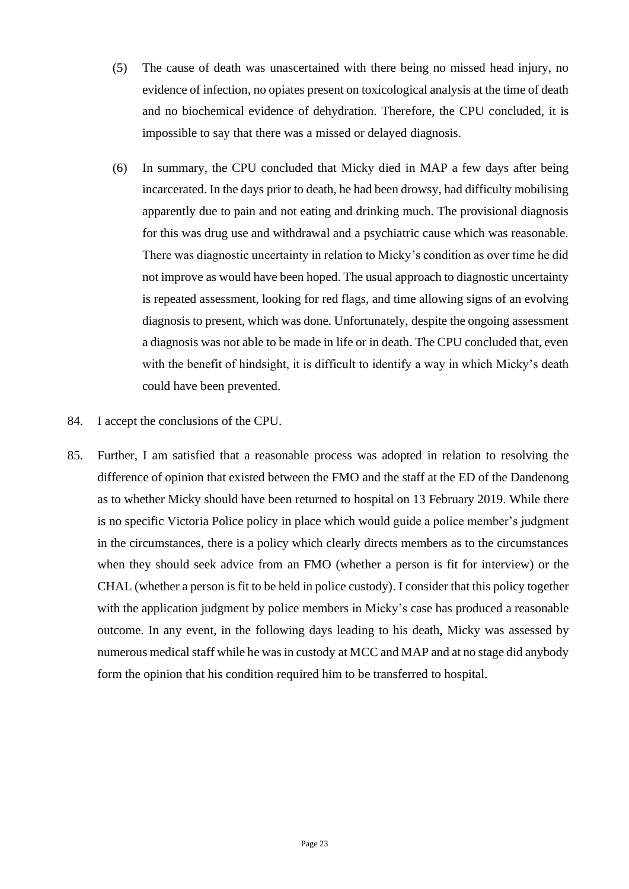- (5) The cause of death was unascertained with there being no missed head injury, no evidence of infection, no opiates present on toxicological analysis at the time of death and no biochemical evidence of dehydration. Therefore, the CPU concluded, it is impossible to say that there was a missed or delayed diagnosis.
- (6) In summary, the CPU concluded that Micky died in MAP a few days after being incarcerated. In the days prior to death, he had been drowsy, had difficulty mobilising apparently due to pain and not eating and drinking much. The provisional diagnosis for this was drug use and withdrawal and a psychiatric cause which was reasonable. There was diagnostic uncertainty in relation to Micky's condition as over time he did not improve as would have been hoped. The usual approach to diagnostic uncertainty is repeated assessment, looking for red flags, and time allowing signs of an evolving diagnosis to present, which was done. Unfortunately, despite the ongoing assessment a diagnosis was not able to be made in life or in death. The CPU concluded that, even with the benefit of hindsight, it is difficult to identify a way in which Micky's death could have been prevented.
- 84. I accept the conclusions of the CPU.
- 85. Further, I am satisfied that a reasonable process was adopted in relation to resolving the difference of opinion that existed between the FMO and the staff at the ED of the Dandenong as to whether Micky should have been returned to hospital on 13 February 2019. While there is no specific Victoria Police policy in place which would guide a police member's judgment in the circumstances, there is a policy which clearly directs members as to the circumstances when they should seek advice from an FMO (whether a person is fit for interview) or the CHAL (whether a person is fit to be held in police custody). I consider that this policy together with the application judgment by police members in Micky's case has produced a reasonable outcome. In any event, in the following days leading to his death, Micky was assessed by numerous medical staff while he was in custody at MCC and MAP and at no stage did anybody form the opinion that his condition required him to be transferred to hospital.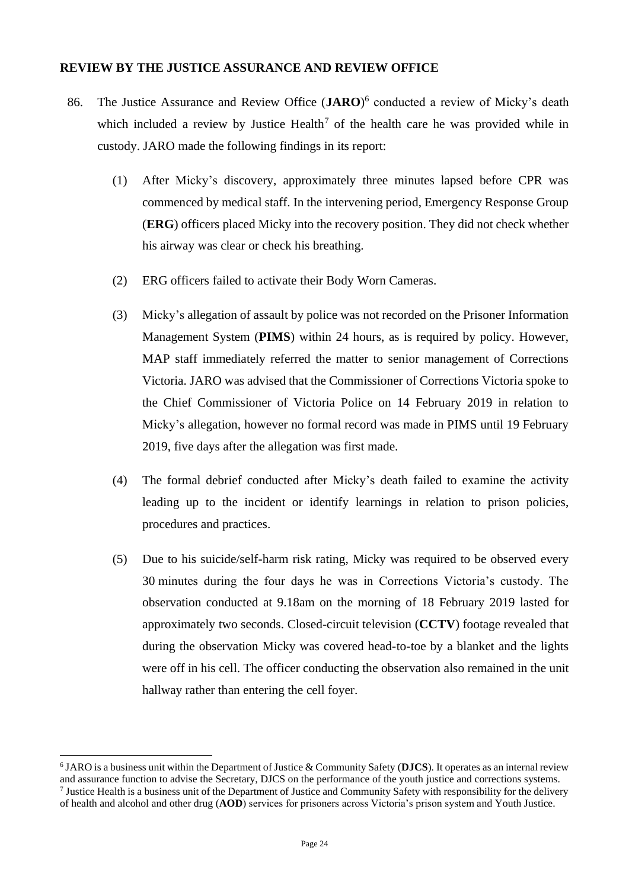#### **REVIEW BY THE JUSTICE ASSURANCE AND REVIEW OFFICE**

- 86. The Justice Assurance and Review Office (**JARO**) 6 conducted a review of Micky's death which included a review by Justice Health<sup>7</sup> of the health care he was provided while in custody. JARO made the following findings in its report:
	- (1) After Micky's discovery, approximately three minutes lapsed before CPR was commenced by medical staff. In the intervening period, Emergency Response Group (**ERG**) officers placed Micky into the recovery position. They did not check whether his airway was clear or check his breathing.
	- (2) ERG officers failed to activate their Body Worn Cameras.
	- (3) Micky's allegation of assault by police was not recorded on the Prisoner Information Management System (**PIMS**) within 24 hours, as is required by policy. However, MAP staff immediately referred the matter to senior management of Corrections Victoria. JARO was advised that the Commissioner of Corrections Victoria spoke to the Chief Commissioner of Victoria Police on 14 February 2019 in relation to Micky's allegation, however no formal record was made in PIMS until 19 February 2019, five days after the allegation was first made.
	- (4) The formal debrief conducted after Micky's death failed to examine the activity leading up to the incident or identify learnings in relation to prison policies, procedures and practices.
	- (5) Due to his suicide/self-harm risk rating, Micky was required to be observed every 30 minutes during the four days he was in Corrections Victoria's custody. The observation conducted at 9.18am on the morning of 18 February 2019 lasted for approximately two seconds. Closed-circuit television (**CCTV**) footage revealed that during the observation Micky was covered head-to-toe by a blanket and the lights were off in his cell. The officer conducting the observation also remained in the unit hallway rather than entering the cell foyer.

<sup>6</sup> JARO is a business unit within the Department of Justice & Community Safety (**DJCS**). It operates as an internal review and assurance function to advise the Secretary, DJCS on the performance of the youth justice and corrections systems. <sup>7</sup> Justice Health is a business unit of the Department of Justice and Community Safety with responsibility for the delivery of health and alcohol and other drug (**AOD**) services for prisoners across Victoria's prison system and Youth Justice.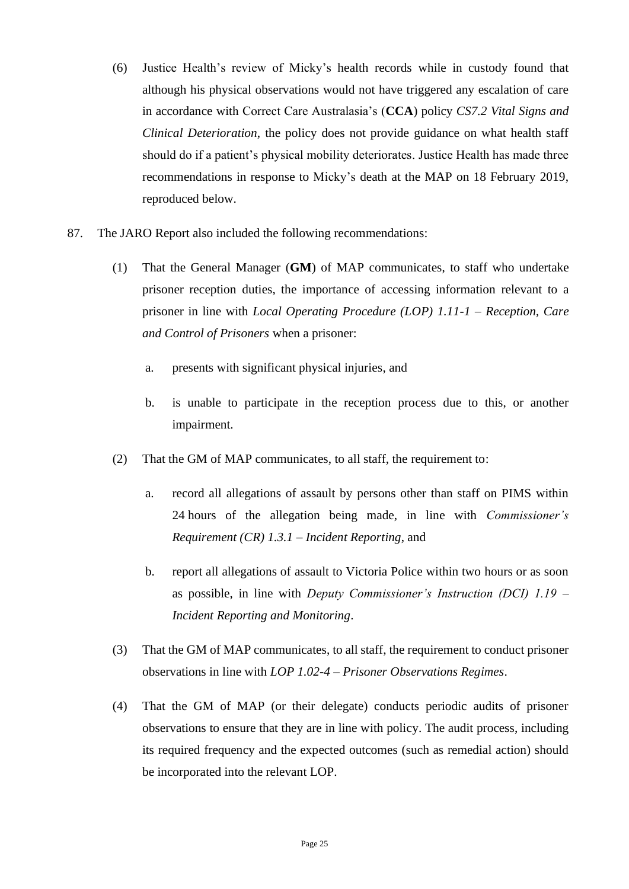- (6) Justice Health's review of Micky's health records while in custody found that although his physical observations would not have triggered any escalation of care in accordance with Correct Care Australasia's (**CCA**) policy *CS7.2 Vital Signs and Clinical Deterioration*, the policy does not provide guidance on what health staff should do if a patient's physical mobility deteriorates. Justice Health has made three recommendations in response to Micky's death at the MAP on 18 February 2019, reproduced below.
- 87. The JARO Report also included the following recommendations:
	- (1) That the General Manager (**GM**) of MAP communicates, to staff who undertake prisoner reception duties, the importance of accessing information relevant to a prisoner in line with *Local Operating Procedure (LOP) 1.11-1 – Reception, Care and Control of Prisoners* when a prisoner:
		- a. presents with significant physical injuries, and
		- b. is unable to participate in the reception process due to this, or another impairment.
	- (2) That the GM of MAP communicates, to all staff, the requirement to:
		- a. record all allegations of assault by persons other than staff on PIMS within 24 hours of the allegation being made, in line with *Commissioner's Requirement (CR) 1.3.1 – Incident Reporting*, and
		- b. report all allegations of assault to Victoria Police within two hours or as soon as possible, in line with *Deputy Commissioner's Instruction (DCI) 1.19 – Incident Reporting and Monitoring*.
	- (3) That the GM of MAP communicates, to all staff, the requirement to conduct prisoner observations in line with *LOP 1.02-4 – Prisoner Observations Regimes*.
	- (4) That the GM of MAP (or their delegate) conducts periodic audits of prisoner observations to ensure that they are in line with policy. The audit process, including its required frequency and the expected outcomes (such as remedial action) should be incorporated into the relevant LOP.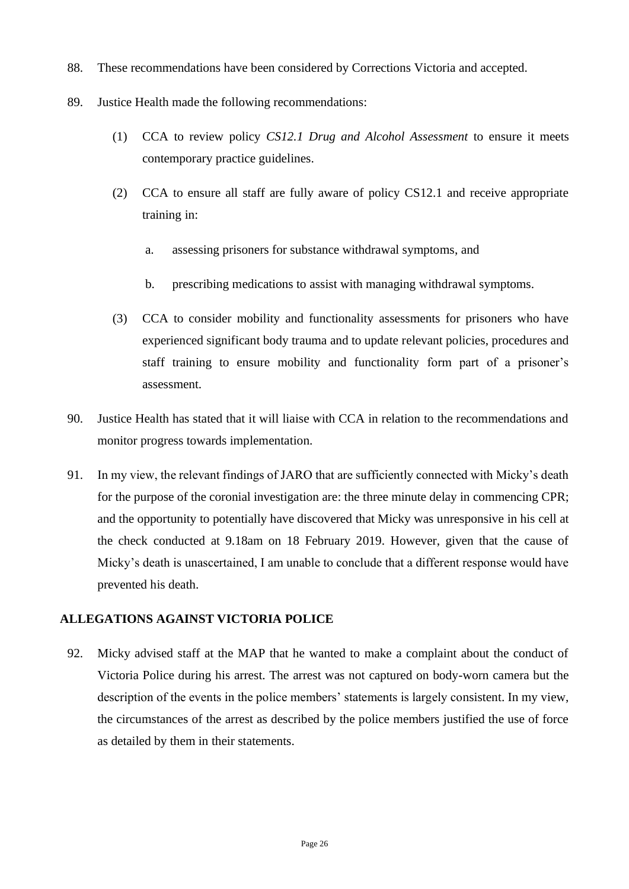- 88. These recommendations have been considered by Corrections Victoria and accepted.
- 89. Justice Health made the following recommendations:
	- (1) CCA to review policy *CS12.1 Drug and Alcohol Assessment* to ensure it meets contemporary practice guidelines.
	- (2) CCA to ensure all staff are fully aware of policy CS12.1 and receive appropriate training in:
		- a. assessing prisoners for substance withdrawal symptoms, and
		- b. prescribing medications to assist with managing withdrawal symptoms.
	- (3) CCA to consider mobility and functionality assessments for prisoners who have experienced significant body trauma and to update relevant policies, procedures and staff training to ensure mobility and functionality form part of a prisoner's assessment.
- 90. Justice Health has stated that it will liaise with CCA in relation to the recommendations and monitor progress towards implementation.
- 91. In my view, the relevant findings of JARO that are sufficiently connected with Micky's death for the purpose of the coronial investigation are: the three minute delay in commencing CPR; and the opportunity to potentially have discovered that Micky was unresponsive in his cell at the check conducted at 9.18am on 18 February 2019. However, given that the cause of Micky's death is unascertained, I am unable to conclude that a different response would have prevented his death.

## **ALLEGATIONS AGAINST VICTORIA POLICE**

92. Micky advised staff at the MAP that he wanted to make a complaint about the conduct of Victoria Police during his arrest. The arrest was not captured on body-worn camera but the description of the events in the police members' statements is largely consistent. In my view, the circumstances of the arrest as described by the police members justified the use of force as detailed by them in their statements.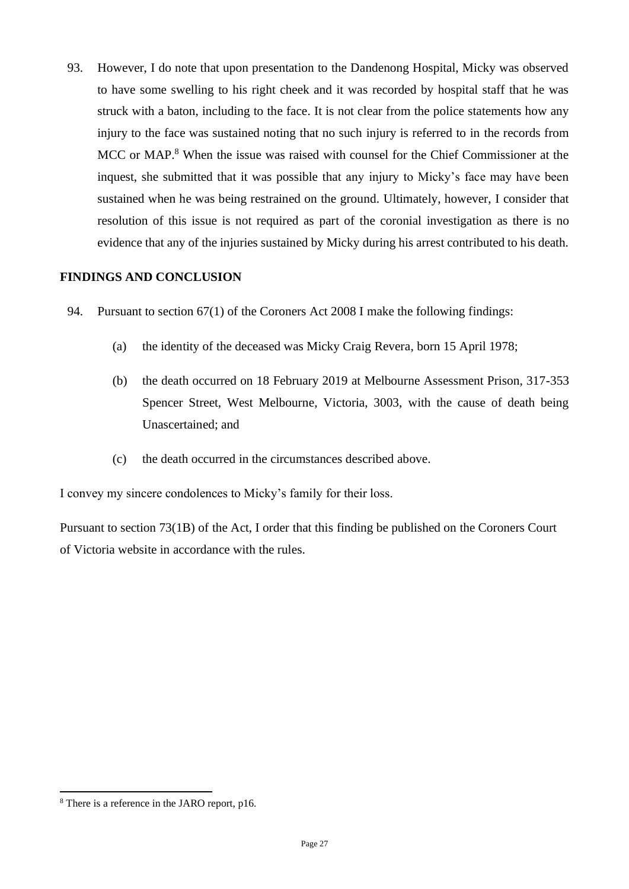93. However, I do note that upon presentation to the Dandenong Hospital, Micky was observed to have some swelling to his right cheek and it was recorded by hospital staff that he was struck with a baton, including to the face. It is not clear from the police statements how any injury to the face was sustained noting that no such injury is referred to in the records from MCC or MAP.<sup>8</sup> When the issue was raised with counsel for the Chief Commissioner at the inquest, she submitted that it was possible that any injury to Micky's face may have been sustained when he was being restrained on the ground. Ultimately, however, I consider that resolution of this issue is not required as part of the coronial investigation as there is no evidence that any of the injuries sustained by Micky during his arrest contributed to his death.

## **FINDINGS AND CONCLUSION**

- 94. Pursuant to section 67(1) of the Coroners Act 2008 I make the following findings:
	- (a) the identity of the deceased was Micky Craig Revera, born 15 April 1978;
	- (b) the death occurred on 18 February 2019 at Melbourne Assessment Prison, 317-353 Spencer Street, West Melbourne, Victoria, 3003, with the cause of death being Unascertained; and
	- (c) the death occurred in the circumstances described above.

I convey my sincere condolences to Micky's family for their loss.

Pursuant to section 73(1B) of the Act, I order that this finding be published on the Coroners Court of Victoria website in accordance with the rules.

<sup>8</sup> There is a reference in the JARO report, p16.